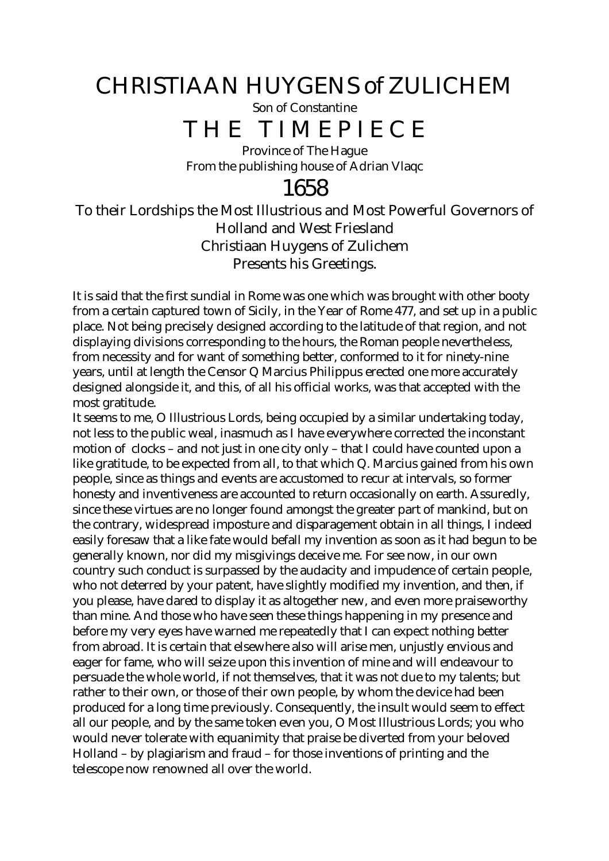## CHRISTIAAN HUYGENS of ZULICHEM

Son of Constantine

## THE TIMEPIECE

Province of The Hague From the publishing house of Adrian Vlaqc

### 1658

#### To their Lordships the Most Illustrious and Most Powerful Governors of Holland and West Friesland Christiaan Huygens of Zulichem Presents his Greetings.

It is said that the first sundial in Rome was one which was brought with other booty from a certain captured town of Sicily, in the Year of Rome 477, and set up in a public place. Not being precisely designed according to the latitude of that region, and not displaying divisions corresponding to the hours, the Roman people nevertheless, from necessity and for want of something better, conformed to it for ninety-nine years, until at length the Censor Q Marcius Philippus erected one more accurately designed alongside it, and this, of all his official works, was that accepted with the most gratitude.

It seems to me, O Illustrious Lords, being occupied by a similar undertaking today, not less to the public weal, inasmuch as I have everywhere corrected the inconstant motion of clocks – and not just in one city only – that I could have counted upon a like gratitude, to be expected from all, to that which Q. Marcius gained from his own people, since as things and events are accustomed to recur at intervals, so former honesty and inventiveness are accounted to return occasionally on earth. Assuredly, since these virtues are no longer found amongst the greater part of mankind, but on the contrary, widespread imposture and disparagement obtain in all things, I indeed easily foresaw that a like fate would befall my invention as soon as it had begun to be generally known, nor did my misgivings deceive me. For see now, in our own country such conduct is surpassed by the audacity and impudence of certain people, who not deterred by your patent, have slightly modified my invention, and then, if you please, have dared to display it as altogether new, and even more praiseworthy than mine. And those who have seen these things happening in my presence and before my very eyes have warned me repeatedly that I can expect nothing better from abroad. It is certain that elsewhere also will arise men, unjustly envious and eager for fame, who will seize upon this invention of mine and will endeavour to persuade the whole world, if not themselves, that it was not due to my talents; but rather to their own, or those of their own people, by whom the device had been produced for a long time previously. Consequently, the insult would seem to effect all our people, and by the same token even you, O Most Illustrious Lords; you who would never tolerate with equanimity that praise be diverted from your beloved Holland – by plagiarism and fraud – for those inventions of printing and the telescope now renowned all over the world.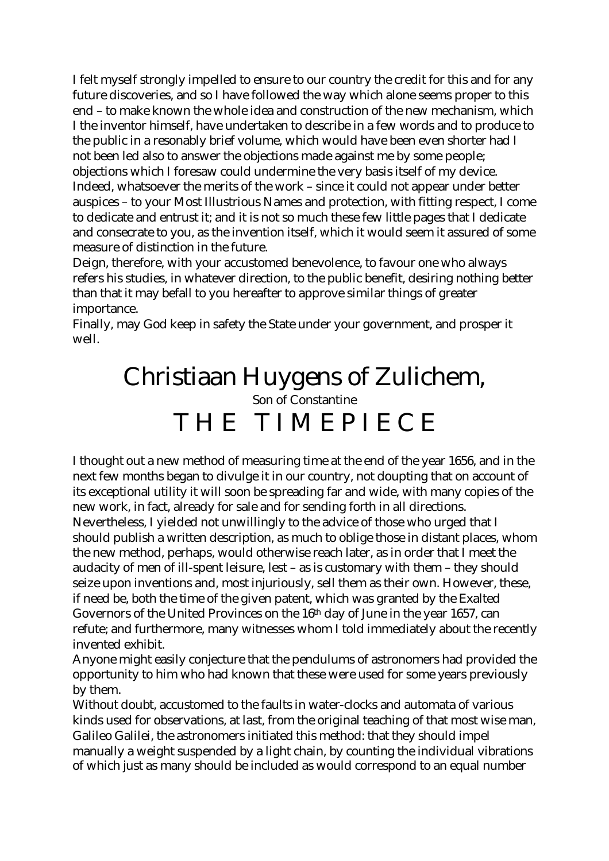I felt myself strongly impelled to ensure to our country the credit for this and for any future discoveries, and so I have followed the way which alone seems proper to this end – to make known the whole idea and construction of the new mechanism, which I the inventor himself, have undertaken to describe in a few words and to produce to the public in a resonably brief volume, which would have been even shorter had I not been led also to answer the objections made against me by some people; objections which I foresaw could undermine the very basis itself of my device. Indeed, whatsoever the merits of the work – since it could not appear under better auspices – to your Most Illustrious Names and protection, with fitting respect, I come to dedicate and entrust it; and it is not so much these few little pages that I dedicate and consecrate to you, as the invention itself, which it would seem it assured of some measure of distinction in the future.

Deign, therefore, with your accustomed benevolence, to favour one who always refers his studies, in whatever direction, to the public benefit, desiring nothing better than that it may befall to you hereafter to approve similar things of greater importance.

Finally, may God keep in safety the State under your government, and prosper it well.

# Christiaan Huygens of Zulichem, Son of Constantine THE TIMEPIECE

I thought out a new method of measuring time at the end of the year 1656, and in the next few months began to divulge it in our country, not doupting that on account of its exceptional utility it will soon be spreading far and wide, with many copies of the new work, in fact, already for sale and for sending forth in all directions. Nevertheless, I yielded not unwillingly to the advice of those who urged that I should publish a written description, as much to oblige those in distant places, whom the new method, perhaps, would otherwise reach later, as in order that I meet the audacity of men of ill-spent leisure, lest – as is customary with them – they should seize upon inventions and, most injuriously, sell them as their own. However, these, if need be, both the time of the given patent, which was granted by the Exalted Governors of the United Provinces on the 16<sup>th</sup> day of June in the year 1657, can refute; and furthermore, many witnesses whom I told immediately about the recently invented exhibit.

Anyone might easily conjecture that the pendulums of astronomers had provided the opportunity to him who had known that these were used for some years previously by them.

Without doubt, accustomed to the faults in water-clocks and automata of various kinds used for observations, at last, from the original teaching of that most wise man, Galileo Galilei, the astronomers initiated this method: that they should impel manually a weight suspended by a light chain, by counting the individual vibrations of which just as many should be included as would correspond to an equal number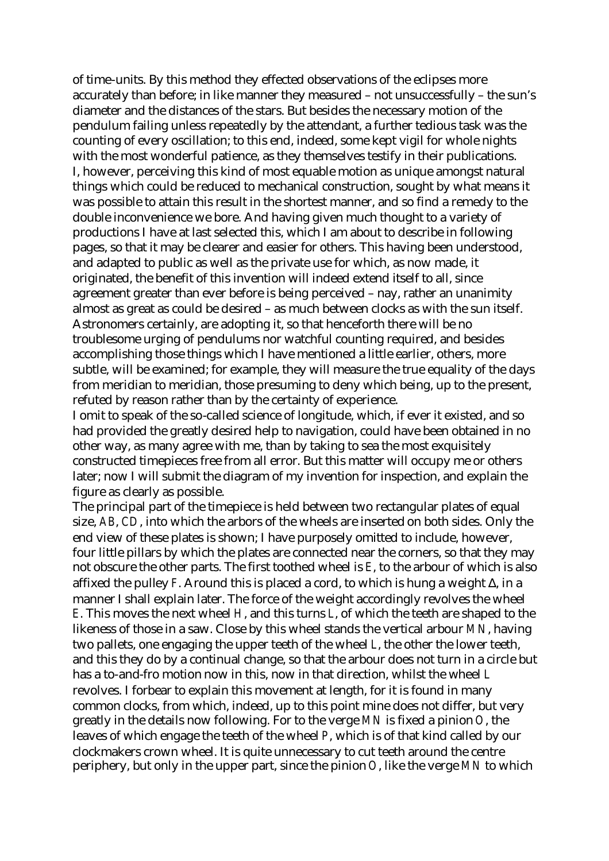of time-units. By this method they effected observations of the eclipses more accurately than before; in like manner they measured – not unsuccessfully – the sun's diameter and the distances of the stars. But besides the necessary motion of the pendulum failing unless repeatedly by the attendant, a further tedious task was the counting of every oscillation; to this end, indeed, some kept vigil for whole nights with the most wonderful patience, as they themselves testify in their publications. I, however, perceiving this kind of most equable motion as unique amongst natural things which could be reduced to mechanical construction, sought by what means it was possible to attain this result in the shortest manner, and so find a remedy to the double inconvenience we bore. And having given much thought to a variety of productions I have at last selected this, which I am about to describe in following pages, so that it may be clearer and easier for others. This having been understood, and adapted to public as well as the private use for which, as now made, it originated, the benefit of this invention will indeed extend itself to all, since agreement greater than ever before is being perceived – nay, rather an unanimity almost as great as could be desired – as much between clocks as with the sun itself. Astronomers certainly, are adopting it, so that henceforth there will be no troublesome urging of pendulums nor watchful counting required, and besides accomplishing those things which I have mentioned a little earlier, others, more subtle, will be examined; for example, they will measure the true equality of the days from meridian to meridian, those presuming to deny which being, up to the present, refuted by reason rather than by the certainty of experience.

I omit to speak of the so-called science of longitude, which, if ever it existed, and so had provided the greatly desired help to navigation, could have been obtained in no other way, as many agree with me, than by taking to sea the most exquisitely constructed timepieces free from all error. But this matter will occupy me or others later; now I will submit the diagram of my invention for inspection, and explain the figure as clearly as possible.

The principal part of the timepiece is held between two rectangular plates of equal size, *AB*, *CD*, into which the arbors of the wheels are inserted on both sides. Only the end view of these plates is shown; I have purposely omitted to include, however, four little pillars by which the plates are connected near the corners, so that they may not obscure the other parts. The first toothed wheel is *E*, to the arbour of which is also affixed the pulley *F*. Around this is placed a cord, to which is hung a weight  $\Delta$ , in a manner I shall explain later. The force of the weight accordingly revolves the wheel *E*. This moves the next wheel *H*, and this turns *L*, of which the teeth are shaped to the likeness of those in a saw. Close by this wheel stands the vertical arbour *MN*, having two pallets, one engaging the upper teeth of the wheel *L*, the other the lower teeth, and this they do by a continual change, so that the arbour does not turn in a circle but has a to-and-fro motion now in this, now in that direction, whilst the wheel *L* revolves. I forbear to explain this movement at length, for it is found in many common clocks, from which, indeed, up to this point mine does not differ, but very greatly in the details now following. For to the verge *MN* is fixed a pinion *O*, the leaves of which engage the teeth of the wheel *P*, which is of that kind called by our clockmakers crown wheel. It is quite unnecessary to cut teeth around the centre periphery, but only in the upper part, since the pinion *O*, like the verge *MN* to which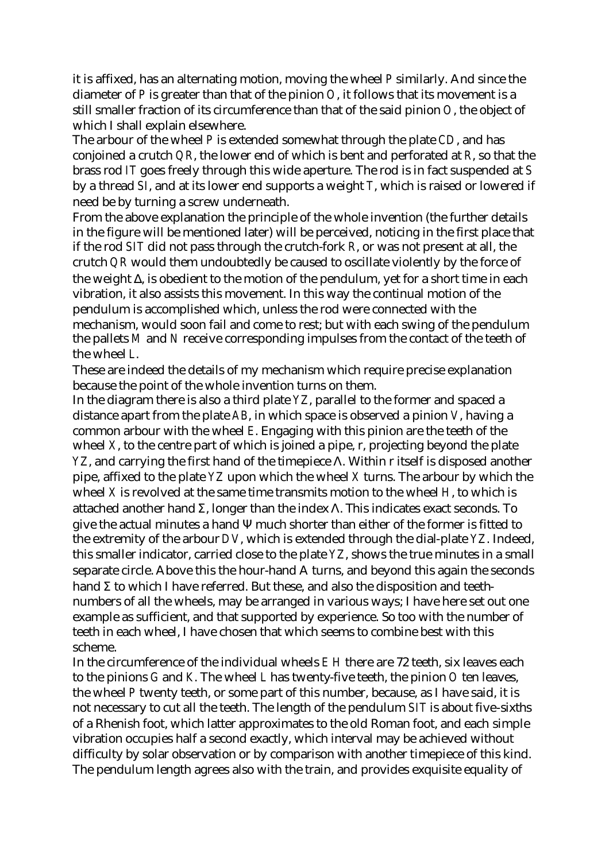it is affixed, has an alternating motion, moving the wheel *P* similarly. And since the diameter of *P* is greater than that of the pinion *O*, it follows that its movement is a still smaller fraction of its circumference than that of the said pinion *O*, the object of which I shall explain elsewhere.

The arbour of the wheel *P* is extended somewhat through the plate *CD*, and has conjoined a crutch *QR*, the lower end of which is bent and perforated at *R*, so that the brass rod *IT* goes freely through this wide aperture. The rod is in fact suspended at *S* by a thread *SI*, and at its lower end supports a weight *T*, which is raised or lowered if need be by turning a screw underneath.

From the above explanation the principle of the whole invention (the further details in the figure will be mentioned later) will be perceived, noticing in the first place that if the rod *SIT* did not pass through the crutch-fork *R*, or was not present at all, the crutch *QR* would them undoubtedly be caused to oscillate violently by the force of the weight Δ, is obedient to the motion of the pendulum, yet for a short time in each vibration, it also assists this movement. In this way the continual motion of the pendulum is accomplished which, unless the rod were connected with the mechanism, would soon fail and come to rest; but with each swing of the pendulum the pallets *M* and *N* receive corresponding impulses from the contact of the teeth of the wheel *L*.

These are indeed the details of my mechanism which require precise explanation because the point of the whole invention turns on them.

In the diagram there is also a third plate *YZ*, parallel to the former and spaced a distance apart from the plate *AB*, in which space is observed a pinion *V*, having a common arbour with the wheel *E*. Engaging with this pinion are the teeth of the wheel *X*, to the centre part of which is joined a pipe, r, projecting beyond the plate *YZ*, and carrying the first hand of the timepiece Λ. Within r itself is disposed another pipe, affixed to the plate *YZ* upon which the wheel *X* turns. The arbour by which the wheel *X* is revolved at the same time transmits motion to the wheel *H*, to which is attached another hand Σ, longer than the index  $\Lambda$ . This indicates exact seconds. To give the actual minutes a hand Ψ much shorter than either of the former is fitted to the extremity of the arbour *DV*, which is extended through the dial-plate *YZ*. Indeed, this smaller indicator, carried close to the plate *YZ*, shows the true minutes in a small separate circle. Above this the hour-hand A turns, and beyond this again the seconds hand  $\Sigma$  to which I have referred. But these, and also the disposition and teethnumbers of all the wheels, may be arranged in various ways; I have here set out one example as sufficient, and that supported by experience. So too with the number of teeth in each wheel, I have chosen that which seems to combine best with this scheme.

In the circumference of the individual wheels *E H* there are 72 teeth, six leaves each to the pinions *G* and *K*. The wheel *L* has twenty-five teeth, the pinion *O* ten leaves, the wheel *P* twenty teeth, or some part of this number, because, as I have said, it is not necessary to cut all the teeth. The length of the pendulum *SIT* is about five-sixths of a Rhenish foot, which latter approximates to the old Roman foot, and each simple vibration occupies half a second exactly, which interval may be achieved without difficulty by solar observation or by comparison with another timepiece of this kind. The pendulum length agrees also with the train, and provides exquisite equality of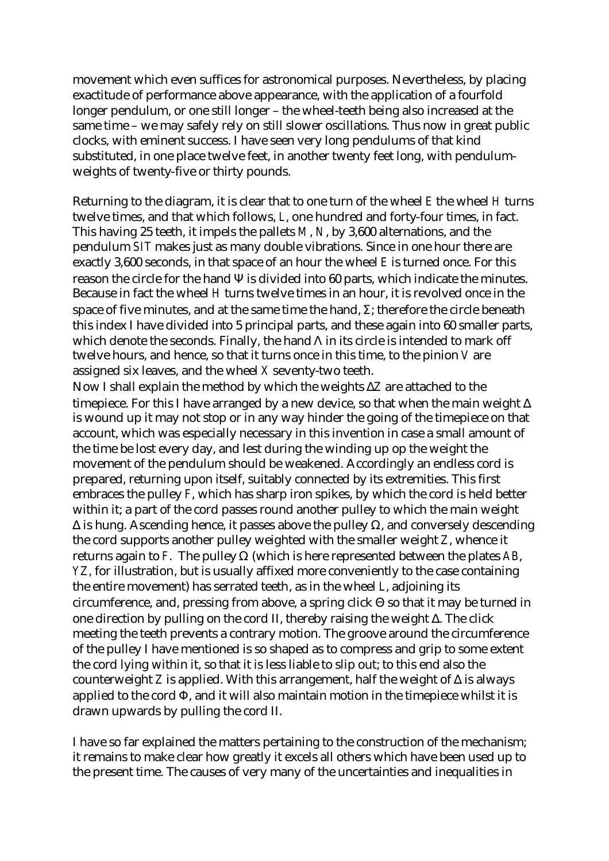movement which even suffices for astronomical purposes. Nevertheless, by placing exactitude of performance above appearance, with the application of a fourfold longer pendulum, or one still longer – the wheel-teeth being also increased at the same time – we may safely rely on still slower oscillations. Thus now in great public clocks, with eminent success. I have seen very long pendulums of that kind substituted, in one place twelve feet, in another twenty feet long, with pendulumweights of twenty-five or thirty pounds.

Returning to the diagram, it is clear that to one turn of the wheel *E* the wheel *H* turns twelve times, and that which follows, *L*, one hundred and forty-four times, in fact. This having 25 teeth, it impels the pallets *M*, *N*, by 3,600 alternations, and the pendulum *SIT* makes just as many double vibrations. Since in one hour there are exactly 3,600 seconds, in that space of an hour the wheel *E* is turned once. For this reason the circle for the hand  $\Psi$  is divided into 60 parts, which indicate the minutes. Because in fact the wheel *H* turns twelve times in an hour, it is revolved once in the space of five minutes, and at the same time the hand,  $\Sigma$ : therefore the circle beneath this index I have divided into 5 principal parts, and these again into 60 smaller parts, which denote the seconds. Finally, the hand  $\Lambda$  in its circle is intended to mark off twelve hours, and hence, so that it turns once in this time, to the pinion *V* are assigned six leaves, and the wheel *X* seventy-two teeth.

Now I shall explain the method by which the weights Δ*Z* are attached to the timepiece. For this I have arranged by a new device, so that when the main weight  $\Delta$ is wound up it may not stop or in any way hinder the going of the timepiece on that account, which was especially necessary in this invention in case a small amount of the time be lost every day, and lest during the winding up op the weight the movement of the pendulum should be weakened. Accordingly an endless cord is prepared, returning upon itself, suitably connected by its extremities. This first embraces the pulley *F*, which has sharp iron spikes, by which the cord is held better within it; a part of the cord passes round another pulley to which the main weight  $Δ$  is hung. Ascending hence, it passes above the pulley  $Ω$ , and conversely descending the cord supports another pulley weighted with the smaller weight *Z*, whence it returns again to *F*. The pulley Ω (which is here represented between the plates *AB*, *YZ*, for illustration, but is usually affixed more conveniently to the case containing the entire movement) has serrated teeth, as in the wheel *L*, adjoining its circumference, and, pressing from above, a spring click Θ so that it may be turned in one direction by pulling on the cord II, thereby raising the weight Δ. The click meeting the teeth prevents a contrary motion. The groove around the circumference of the pulley I have mentioned is so shaped as to compress and grip to some extent the cord lying within it, so that it is less liable to slip out; to this end also the counterweight *Z* is applied. With this arrangement, half the weight of Δ is always applied to the cord Φ, and it will also maintain motion in the timepiece whilst it is drawn upwards by pulling the cord II.

I have so far explained the matters pertaining to the construction of the mechanism; it remains to make clear how greatly it excels all others which have been used up to the present time. The causes of very many of the uncertainties and inequalities in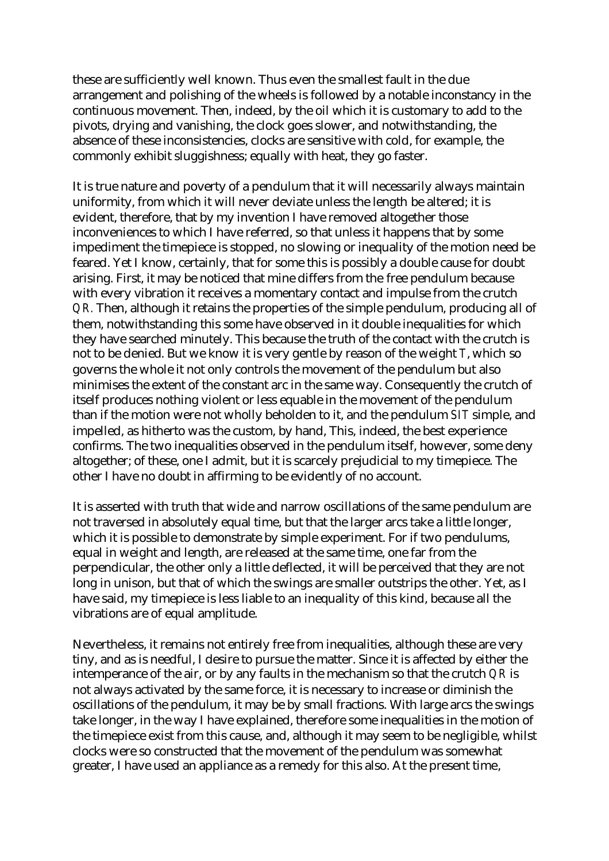these are sufficiently well known. Thus even the smallest fault in the due arrangement and polishing of the wheels is followed by a notable inconstancy in the continuous movement. Then, indeed, by the oil which it is customary to add to the pivots, drying and vanishing, the clock goes slower, and notwithstanding, the absence of these inconsistencies, clocks are sensitive with cold, for example, the commonly exhibit sluggishness; equally with heat, they go faster.

It is true nature and poverty of a pendulum that it will necessarily always maintain uniformity, from which it will never deviate unless the length be altered; it is evident, therefore, that by my invention I have removed altogether those inconveniences to which I have referred, so that unless it happens that by some impediment the timepiece is stopped, no slowing or inequality of the motion need be feared. Yet I know, certainly, that for some this is possibly a double cause for doubt arising. First, it may be noticed that mine differs from the free pendulum because with every vibration it receives a momentary contact and impulse from the crutch *QR.* Then, although it retains the properties of the simple pendulum, producing all of them, notwithstanding this some have observed in it double inequalities for which they have searched minutely. This because the truth of the contact with the crutch is not to be denied. But we know it is very gentle by reason of the weight *T*, which so governs the whole it not only controls the movement of the pendulum but also minimises the extent of the constant arc in the same way. Consequently the crutch of itself produces nothing violent or less equable in the movement of the pendulum than if the motion were not wholly beholden to it, and the pendulum *SIT* simple, and impelled, as hitherto was the custom, by hand, This, indeed, the best experience confirms. The two inequalities observed in the pendulum itself, however, some deny altogether; of these, one I admit, but it is scarcely prejudicial to my timepiece. The other I have no doubt in affirming to be evidently of no account.

It is asserted with truth that wide and narrow oscillations of the same pendulum are not traversed in absolutely equal time, but that the larger arcs take a little longer, which it is possible to demonstrate by simple experiment. For if two pendulums, equal in weight and length, are released at the same time, one far from the perpendicular, the other only a little deflected, it will be perceived that they are not long in unison, but that of which the swings are smaller outstrips the other. Yet, as I have said, my timepiece is less liable to an inequality of this kind, because all the vibrations are of equal amplitude.

Nevertheless, it remains not entirely free from inequalities, although these are very tiny, and as is needful, I desire to pursue the matter. Since it is affected by either the intemperance of the air, or by any faults in the mechanism so that the crutch *QR* is not always activated by the same force, it is necessary to increase or diminish the oscillations of the pendulum, it may be by small fractions. With large arcs the swings take longer, in the way I have explained, therefore some inequalities in the motion of the timepiece exist from this cause, and, although it may seem to be negligible, whilst clocks were so constructed that the movement of the pendulum was somewhat greater, I have used an appliance as a remedy for this also. At the present time,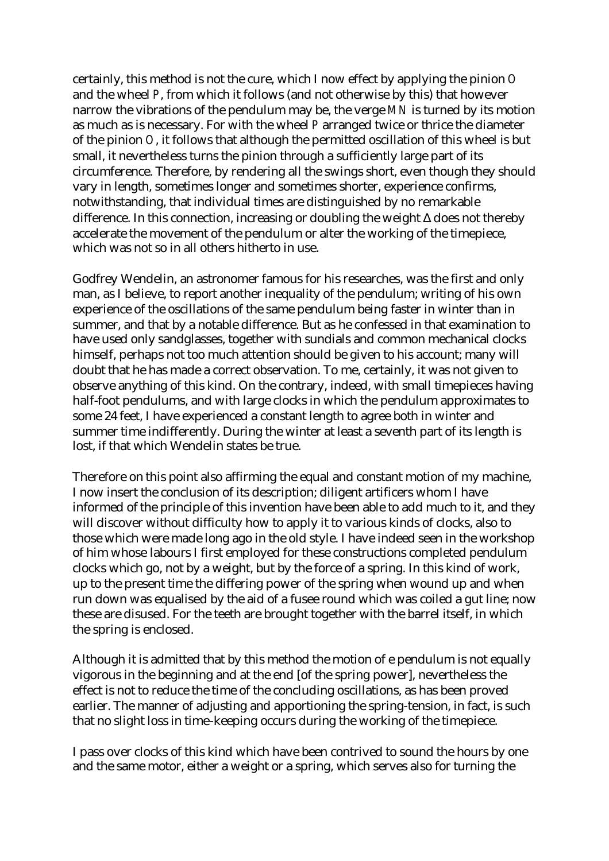certainly, this method is not the cure, which I now effect by applying the pinion *O* and the wheel *P*, from which it follows (and not otherwise by this) that however narrow the vibrations of the pendulum may be, the verge *MN* is turned by its motion as much as is necessary. For with the wheel *P* arranged twice or thrice the diameter of the pinion *O*, it follows that although the permitted oscillation of this wheel is but small, it nevertheless turns the pinion through a sufficiently large part of its circumference. Therefore, by rendering all the swings short, even though they should vary in length, sometimes longer and sometimes shorter, experience confirms, notwithstanding, that individual times are distinguished by no remarkable difference. In this connection, increasing or doubling the weight Δ does not thereby accelerate the movement of the pendulum or alter the working of the timepiece, which was not so in all others hitherto in use.

Godfrey Wendelin, an astronomer famous for his researches, was the first and only man, as I believe, to report another inequality of the pendulum; writing of his own experience of the oscillations of the same pendulum being faster in winter than in summer, and that by a notable difference. But as he confessed in that examination to have used only sandglasses, together with sundials and common mechanical clocks himself, perhaps not too much attention should be given to his account; many will doubt that he has made a correct observation. To me, certainly, it was not given to observe anything of this kind. On the contrary, indeed, with small timepieces having half-foot pendulums, and with large clocks in which the pendulum approximates to some 24 feet, I have experienced a constant length to agree both in winter and summer time indifferently. During the winter at least a seventh part of its length is lost, if that which Wendelin states be true.

Therefore on this point also affirming the equal and constant motion of my machine, I now insert the conclusion of its description; diligent artificers whom I have informed of the principle of this invention have been able to add much to it, and they will discover without difficulty how to apply it to various kinds of clocks, also to those which were made long ago in the old style. I have indeed seen in the workshop of him whose labours I first employed for these constructions completed pendulum clocks which go, not by a weight, but by the force of a spring. In this kind of work, up to the present time the differing power of the spring when wound up and when run down was equalised by the aid of a fusee round which was coiled a gut line; now these are disused. For the teeth are brought together with the barrel itself, in which the spring is enclosed.

Although it is admitted that by this method the motion of e pendulum is not equally vigorous in the beginning and at the end [of the spring power], nevertheless the effect is not to reduce the time of the concluding oscillations, as has been proved earlier. The manner of adjusting and apportioning the spring-tension, in fact, is such that no slight loss in time-keeping occurs during the working of the timepiece.

I pass over clocks of this kind which have been contrived to sound the hours by one and the same motor, either a weight or a spring, which serves also for turning the